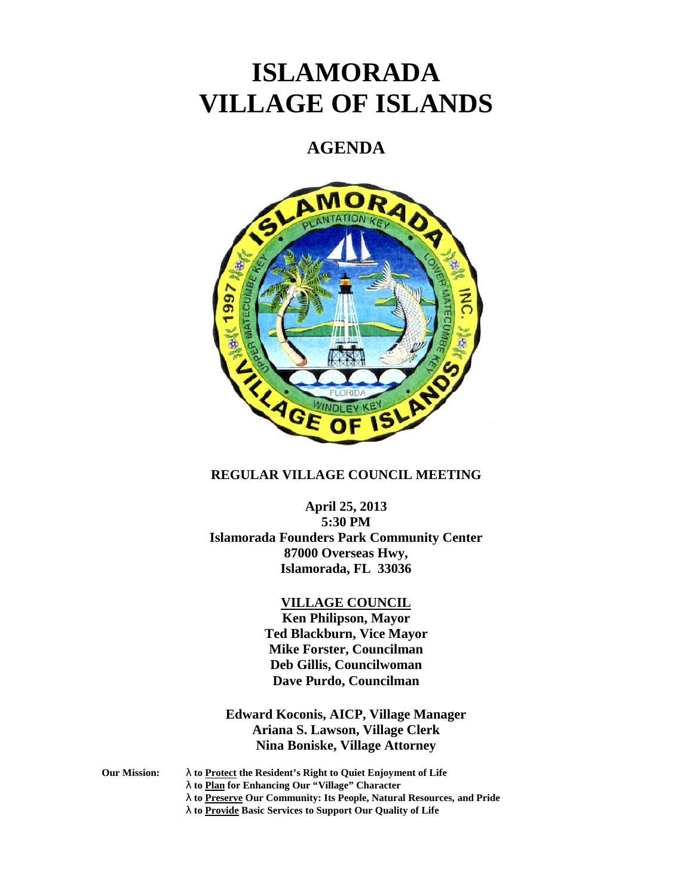# **ISLAMORADA VILLAGE OF ISLANDS**

## **AGENDA**



## **REGULAR VILLAGE COUNCIL MEETING**

## **April 25, 2013**

**5:30 PM Islamorada Founders Park Community Center 87000 Overseas Hwy, Islamorada, FL 33036**

#### **VILLAGE COUNCIL**

**Ken Philipson, Mayor Ted Blackburn, Vice Mayor Mike Forster, Councilman Deb Gillis, Councilwoman Dave Purdo, Councilman**

## **Edward Koconis, AICP, Village Manager Ariana S. Lawson, Village Clerk Nina Boniske, Village Attorney**

**Our Mission: to Protect the Resident's Right to Quiet Enjoyment of Life**

**to Plan for Enhancing Our "Village" Character**

- **to Preserve Our Community: Its People, Natural Resources, and Pride**
- **to Provide Basic Services to Support Our Quality of Life**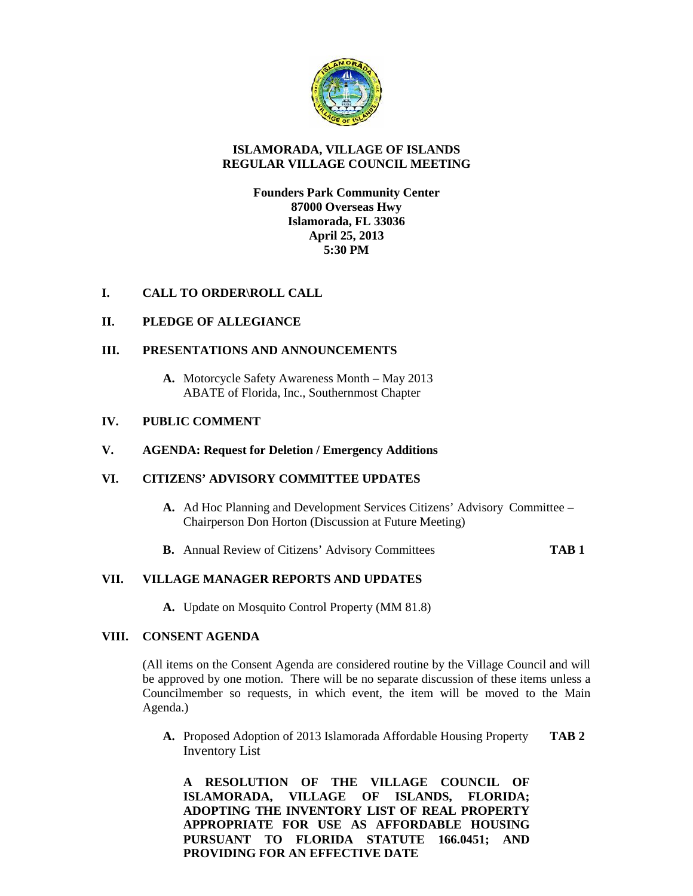

### **ISLAMORADA, VILLAGE OF ISLANDS REGULAR VILLAGE COUNCIL MEETING**

## **Founders Park Community Center 87000 Overseas Hwy Islamorada, FL 33036 April 25, 2013 5:30 PM**

## **I. CALL TO ORDER\ROLL CALL**

## **II. PLEDGE OF ALLEGIANCE**

## **III. PRESENTATIONS AND ANNOUNCEMENTS**

**A.** Motorcycle Safety Awareness Month – May 2013 ABATE of Florida, Inc., Southernmost Chapter

## **IV. PUBLIC COMMENT**

#### **V. AGENDA: Request for Deletion / Emergency Additions**

## **VI. CITIZENS' ADVISORY COMMITTEE UPDATES**

- **A.** Ad Hoc Planning and Development Services Citizens' Advisory Committee Chairperson Don Horton (Discussion at Future Meeting)
- **B.** Annual Review of Citizens' Advisory Committees **TAB 1**

#### **VII. VILLAGE MANAGER REPORTS AND UPDATES**

**A.** Update on Mosquito Control Property (MM 81.8)

#### **VIII. CONSENT AGENDA**

(All items on the Consent Agenda are considered routine by the Village Council and will be approved by one motion. There will be no separate discussion of these items unless a Councilmember so requests, in which event, the item will be moved to the Main Agenda.)

**A.** Proposed Adoption of 2013 Islamorada Affordable Housing Property **TAB 2** Inventory List

**A RESOLUTION OF THE VILLAGE COUNCIL OF ISLAMORADA, VILLAGE OF ISLANDS, FLORIDA; ADOPTING THE INVENTORY LIST OF REAL PROPERTY APPROPRIATE FOR USE AS AFFORDABLE HOUSING PURSUANT TO FLORIDA STATUTE 166.0451; AND PROVIDING FOR AN EFFECTIVE DATE**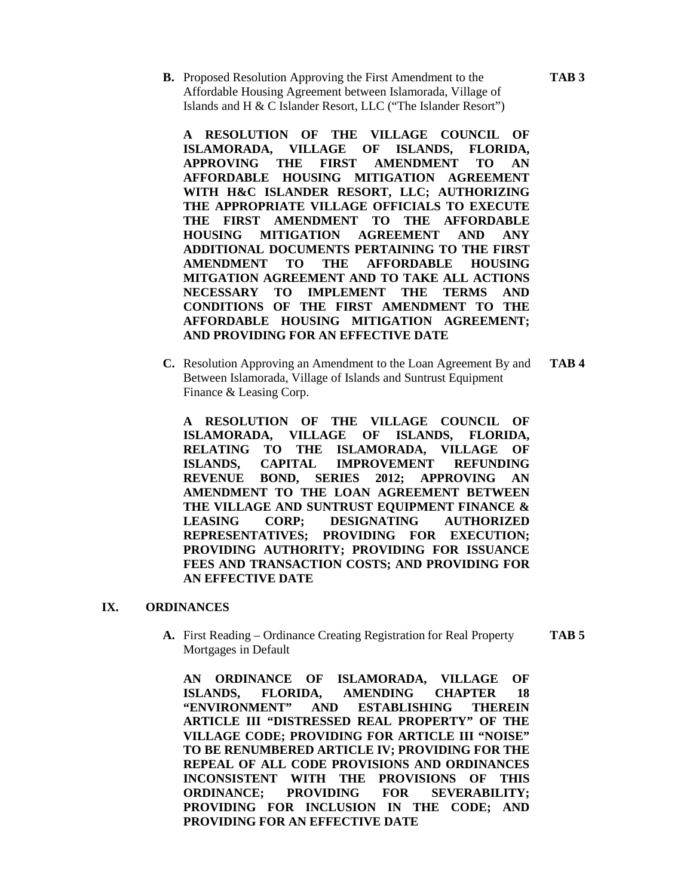**B.** Proposed Resolution Approving the First Amendment to the **TAB 3** Affordable Housing Agreement between Islamorada, Village of Islands and H & C Islander Resort, LLC ("The Islander Resort")

**A RESOLUTION OF THE VILLAGE COUNCIL OF ISLAMORADA, VILLAGE OF ISLANDS, FLORIDA, APPROVING THE FIRST AMENDMENT TO AN AFFORDABLE HOUSING MITIGATION AGREEMENT WITH H&C ISLANDER RESORT, LLC; AUTHORIZING THE APPROPRIATE VILLAGE OFFICIALS TO EXECUTE THE FIRST AMENDMENT TO THE AFFORDABLE HOUSING MITIGATION AGREEMENT AND ANY ADDITIONAL DOCUMENTS PERTAINING TO THE FIRST AMENDMENT TO THE AFFORDABLE HOUSING MITGATION AGREEMENT AND TO TAKE ALL ACTIONS NECESSARY TO IMPLEMENT THE TERMS AND CONDITIONS OF THE FIRST AMENDMENT TO THE AFFORDABLE HOUSING MITIGATION AGREEMENT; AND PROVIDING FOR AN EFFECTIVE DATE**

**C.** Resolution Approving an Amendment to the Loan Agreement By and **TAB 4** Between Islamorada, Village of Islands and Suntrust Equipment Finance & Leasing Corp.

**A RESOLUTION OF THE VILLAGE COUNCIL OF ISLAMORADA, VILLAGE OF ISLANDS, FLORIDA, RELATING TO THE ISLAMORADA, VILLAGE OF ISLANDS, CAPITAL IMPROVEMENT REFUNDING REVENUE BOND, SERIES 2012; APPROVING AN AMENDMENT TO THE LOAN AGREEMENT BETWEEN THE VILLAGE AND SUNTRUST EQUIPMENT FINANCE & LEASING CORP; DESIGNATING AUTHORIZED REPRESENTATIVES; PROVIDING FOR EXECUTION; PROVIDING AUTHORITY; PROVIDING FOR ISSUANCE FEES AND TRANSACTION COSTS; AND PROVIDING FOR AN EFFECTIVE DATE**

#### **IX. ORDINANCES**

**A.** First Reading – Ordinance Creating Registration for Real Property **TAB 5** Mortgages in Default

**AN ORDINANCE OF ISLAMORADA, VILLAGE OF ISLANDS, FLORIDA, AMENDING CHAPTER 18 "ENVIRONMENT" AND ESTABLISHING THEREIN ARTICLE III "DISTRESSED REAL PROPERTY" OF THE VILLAGE CODE; PROVIDING FOR ARTICLE III "NOISE" TO BE RENUMBERED ARTICLE IV; PROVIDING FOR THE REPEAL OF ALL CODE PROVISIONS AND ORDINANCES INCONSISTENT WITH THE PROVISIONS OF THIS ORDINANCE; PROVIDING FOR SEVERABILITY; PROVIDING FOR INCLUSION IN THE CODE; AND PROVIDING FOR AN EFFECTIVE DATE**